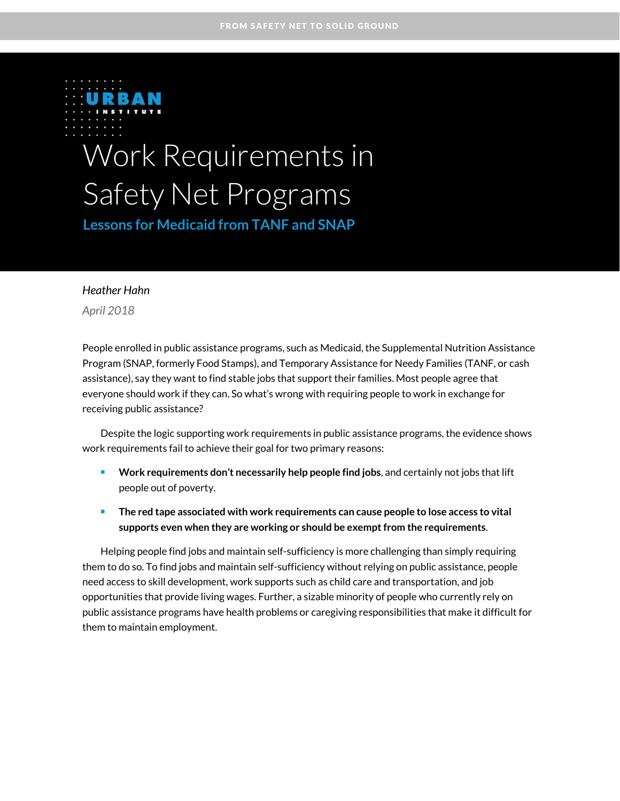

# Work Requirements in Safety Net Programs

**Lessons for Medicaid from TANF and SNAP** 

#### *Heather Hahn*

*April 2018*

People enrolled in public assistance programs, such as Medicaid, the Supplemental Nutrition Assistance Program (SNAP, formerly Food Stamps), and Temporary Assistance for Needy Families (TANF, or cash assistance), say they want to find stable jobs that support their families. Most people agree that everyone should work if they can. So what's wrong with requiring people to work in exchange for receiving public assistance?

Despite the logic supporting work requirements in public assistance programs, the evidence shows work requirements fail to achieve their goal for two primary reasons:

- **Work requirements don't necessarily help people find jobs**, and certainly not jobs that lift people out of poverty.
- **The** red tape associated with work requirements can cause people to lose access to vital supports even when they are working or should be exempt from the requirements.

Helping people find jobs and maintain self-sufficiency is more challenging than simply requiring them to do so. To find jobs and maintain self-sufficiency without relying on public assistance, people need access to skill development, work supports such as child care and transportation, and job opportunities that provide living wages. Further, a sizable minority of people who currently rely on public assistance programs have health problems or caregiving responsibilities that make it difficult for them to maintain employment.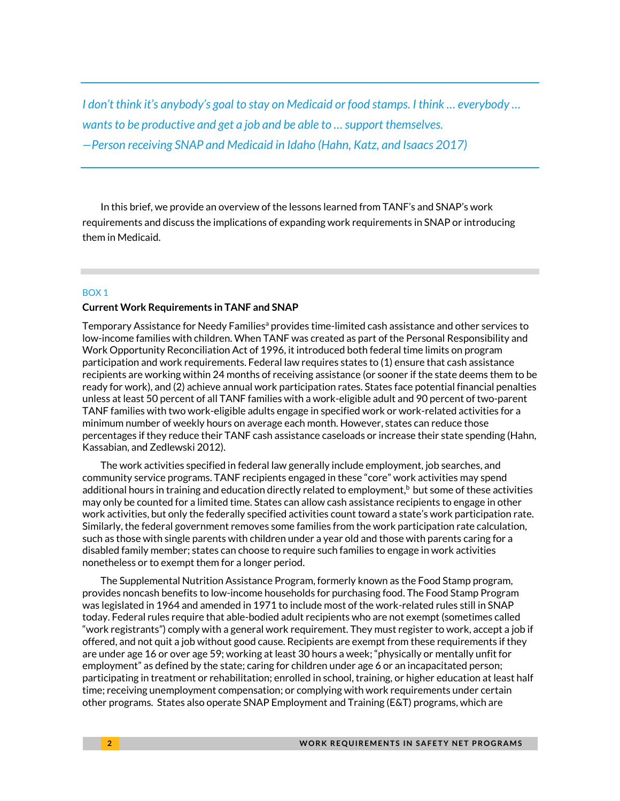*I don't think it's anybody's goal to stay on Medicaid or food stamps. I think … everybody … wants to be productive and get a job and be able to … support themselves. —Person receiving SNAP and Medicaid in Idaho (Hahn, Katz, and Isaacs 2017)*

In this brief, we provide an overview of the lessons learned from TANF's and SNAP's work requirements and discuss the implications of expanding work requirements in SNAP or introducing them in Medicaid.

#### BOX 1

#### **Current Work Requirements in TANF and SNAP**

Temporary Assistance for Needy Families<sup>a</sup> provides time-limited cash assistance and other services to low-income families with children. When TANF was created as part of the Personal Responsibility and Work Opportunity Reconciliation Act of 1996, it introduced both federal time limits on program participation and work requirements. Federal law requires states to (1) ensure that cash assistance recipients are working within 24 months of receiving assistance (or sooner if the state deems them to be ready for work), and (2) achieve annual work participation rates. States face potential financial penalties unless at least 50 percent of all TANF families with a work-eligible adult and 90 percent of two-parent TANF families with two work-eligible adults engage in specified work or work-related activities for a minimum number of weekly hours on average each month. However, states can reduce those percentages if they reduce their TANF cash assistance caseloads or increase their state spending (Hahn, Kassabian, and Zedlewski 2012).

The work activities specified in federal law generally include employment, job searches, and community service programs. TANF recipients engaged in these "core" work activities may spend additional hours in training and education directly related to employment, <sup>b</sup> but some of these activities may only be counted for a limited time. States can allow cash assistance recipients to engage in other work activities, but only the federally specified activities count toward a state's work participation rate. Similarly, the federal government removes some families from the work participation rate calculation, such as those with single parents with children under a year old and those with parents caring for a disabled family member; states can choose to require such families to engage in work activities nonetheless or to exempt them for a longer period.

The Supplemental Nutrition Assistance Program, formerly known as the Food Stamp program, provides noncash benefits to low-income households for purchasing food. The Food Stamp Program was legislated in 1964 and amended in 1971 to include most of the work-related rules still in SNAP today. Federal rules require that able-bodied adult recipients who are not exempt (sometimes called "work registrants") comply with a general work requirement. They must register to work, accept a job if offered, and not quit a job without good cause. Recipients are exempt from these requirements if they are under age 16 or over age 59; working at least 30 hours a week; "physically or mentally unfit for employment" as defined by the state; caring for children under age 6 or an incapacitated person; participating in treatment or rehabilitation; enrolled in school, training, or higher education at least half time; receiving unemployment compensation; or complying with work requirements under certain other programs. States also operate SNAP Employment and Training (E&T) programs, which are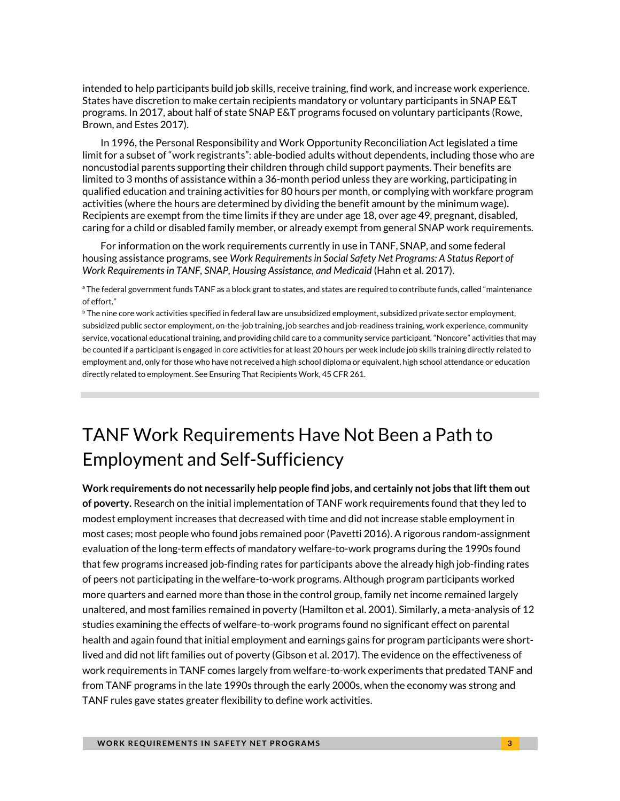intended to help participants build job skills, receive training, find work, and increase work experience. States have discretion to make certain recipients mandatory or voluntary participants in SNAP E&T programs. In 2017, about half of state SNAP E&T programs focused on voluntary participants (Rowe, Brown, and Estes 2017).

In 1996, the Personal Responsibility and Work Opportunity Reconciliation Act legislated a time limit for a subset of "work registrants": able-bodied adults without dependents, including those who are noncustodial parents supporting their children through child support payments. Their benefits are limited to 3 months of assistance within a 36-month period unless they are working, participating in qualified education and training activities for 80 hours per month, or complying with workfare program activities (where the hours are determined by dividing the benefit amount by the minimum wage). Recipients are exempt from the time limits if they are under age 18, over age 49, pregnant, disabled, caring for a child or disabled family member, or already exempt from general SNAP work requirements.

For information on the work requirements currently in use in TANF, SNAP, and some federal housing assistance programs, see *Work Requirements in Social Safety Net Programs: A Status Report of Work Requirements in TANF, SNAP, Housing Assistance, and Medicaid* (Hahn et al. 2017).

<sup>a</sup> The federal government funds TANF as a block grant to states, and states are required to contribute funds, called "maintenance of effort."

<sup>b</sup> The nine core work activities specified in federal law are unsubsidized employment, subsidized private sector employment, subsidized public sector employment, on-the-job training, job searches and job-readiness training, work experience, community service, vocational educational training, and providing child care to a community service participant. "Noncore" activities that may be counted if a participant is engaged in core activities for at least 20 hours per week include job skills training directly related to employment and, only for those who have not received a high school diploma or equivalent, high school attendance or education directly related to employment. See Ensuring That Recipients Work, 45 CFR 261.

## TANF Work Requirements Have Not Been a Path to Employment and Self-Sufficiency

**Work requirements do not necessarily help people find jobs, and certainly not jobs that lift them out of poverty.** Research on the initial implementation of TANF work requirements found that they led to modest employment increases that decreased with time and did not increase stable employment in most cases; most people who found jobs remained poor (Pavetti 2016). A rigorous random-assignment evaluation of the long-term effects of mandatory welfare-to-work programs during the 1990s found that few programs increased job-finding rates for participants above the already high job-finding rates of peers not participating in the welfare-to-work programs. Although program participants worked more quarters and earned more than those in the control group, family net income remained largely unaltered, and most families remained in poverty (Hamilton et al. 2001). Similarly, a meta-analysis of 12 studies examining the effects of welfare-to-work programs found no significant effect on parental health and again found that initial employment and earnings gains for program participants were shortlived and did not lift families out of poverty (Gibson et al. 2017). The evidence on the effectiveness of work requirements in TANF comes largely from welfare-to-work experiments that predated TANF and from TANF programs in the late 1990s through the early 2000s, when the economy was strong and TANF rules gave states greater flexibility to define work activities.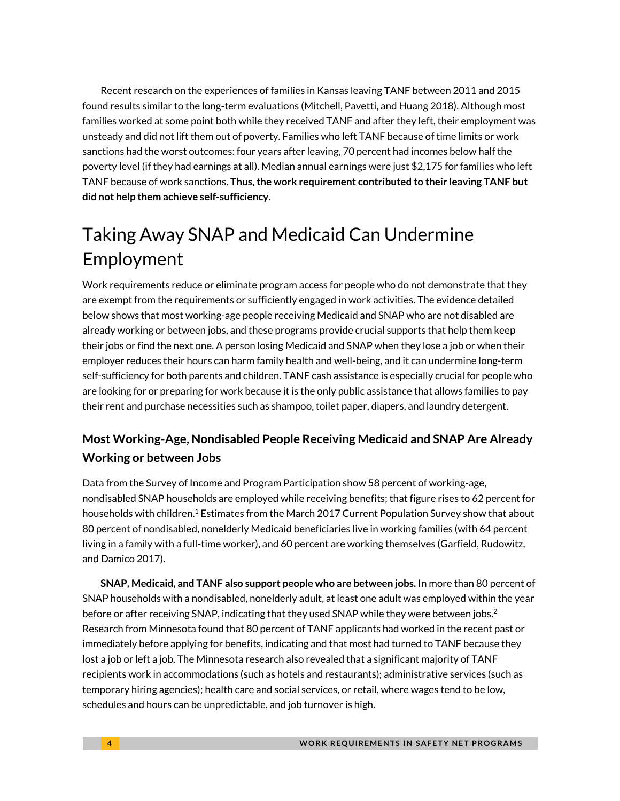Recent research on the experiences of families in Kansas leaving TANF between 2011 and 2015 found results similar to the long-term evaluations (Mitchell, Pavetti, and Huang 2018). Although most families worked at some point both while they received TANF and after they left, their employment was unsteady and did not lift them out of poverty. Families who left TANF because of time limits or work sanctions had the worst outcomes: four years after leaving, 70 percent had incomes below half the poverty level (if they had earnings at all). Median annual earnings were just \$2,175 for families who left TANF because of work sanctions. **Thus, the work requirement contributed to their leaving TANF but did not help them achieve self-sufficiency**.

# Taking Away [SNAP and Medicaid Can](https://www.urban.org/node/27161) Undermine Employment

Work requirements reduce or eliminate program access for people who do not demonstrate that they are exempt from the requirements or sufficiently engaged in work activities. The evidence detailed below shows that most working-age people receiving Medicaid and SNAP who are not disabled are already working or between jobs, and these programs provide crucial supports that help them keep their jobs or find the next one. A person losing Medicaid and SNAP when they lose a job or when their employer reduces their hours can harm family health and well-being, and it can undermine long-term self-sufficiency for both parents and children. TANF cash assistance is especially crucial for people who are looking for or preparing for work because it is the only public assistance that allows families to pay their rent and purchase necessities such as shampoo, toilet paper, diapers, and laundry detergent.

### **Most Working-Age, Nondisabled People Receiving Medicaid and SNAP Are Already Working or between Jobs**

Data from the Survey of Income and Program Participation show 58 percent of working-age, nondisabled SNAP households are employed while receiving benefits; that figure rises to 62 percent for households with children.<sup>1</sup> Estimates from the March 2017 Current Population Survey show that about 80 percent of nondisabled, nonelderly Medicaid beneficiaries live in working families (with 64 percent living in a family with a full-time worker), and 60 percent are working themselves (Garfield, Rudowitz, and Damico 2017).

**SNAP, Medicaid, and TANF also support people who are between jobs.** In more than 80 percent of SNAP households with a nondisabled, nonelderly adult, at least one adult was employed within the year before or after receiving SNAP, indicating that they used SNAP while they were between jobs.<sup>2</sup> Research from Minnesota found that 80 percent of TANF applicants had worked in the recent past or immediately before applying for benefits, indicating and that most had turned to TANF because they lost a job or left a job. The Minnesota research also revealed that a significant majority of TANF recipients work in accommodations (such as hotels and restaurants); administrative services (such as temporary hiring agencies); health care and social services, or retail, where wages tend to be low, schedules and hours can be unpredictable, and job turnover is high.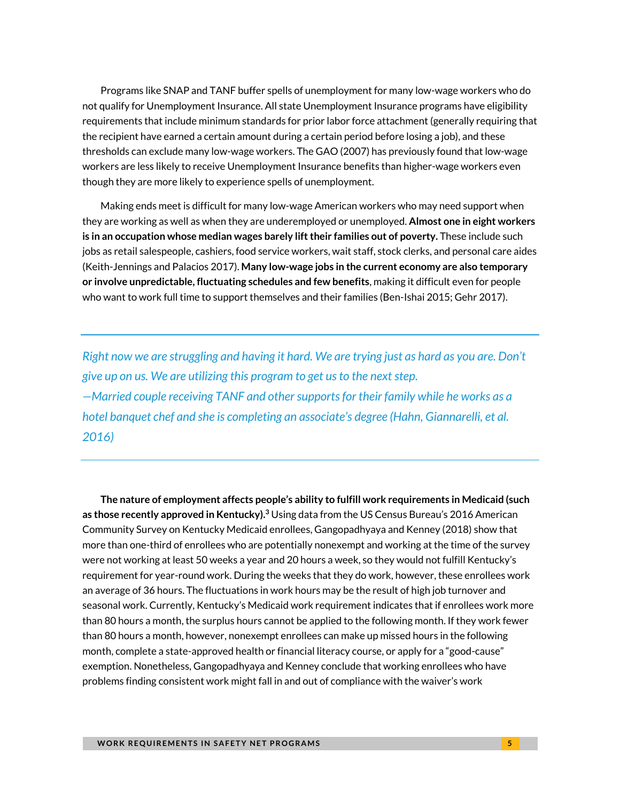Programs like SNAP and TANF buffer spells of unemployment for many low-wage workers who do not qualify for Unemployment Insurance. All state Unemployment Insurance programs have eligibility requirements that include minimum standards for prior labor force attachment (generally requiring that the recipient have earned a certain amount during a certain period before losing a job), and these thresholds can exclude many low-wage workers. The GAO (2007) has previously found that low-wage workers are less likely to receive Unemployment Insurance benefits than higher-wage workers even though they are more likely to experience spells of unemployment.

Making ends meet is difficult for many low-wage American workers who may need support when they are working as well as when they are underemployed or unemployed. **Almost one in eight workers is in an occupation whose median wages barely lift their families out of poverty.** These include such jobs as retail salespeople, cashiers, food service workers, wait staff, stock clerks, and personal care aides (Keith-Jennings and Palacios 2017). **Many low-wage jobs in the current economy are also temporary or involve unpredictable, fluctuating schedules and few benefits**, making it difficult even for people who want to work full time to support themselves and their families (Ben-Ishai 2015; Gehr 2017).

*Right now we are struggling and having it hard. We are trying just as hard as you are. Don't give up on us. We are utilizing this program to get us to the next step. —Married couple receiving TANF and other supports for their family while he works as a hotel banquet chef and she is completing an associate's degree (Hahn, Giannarelli, et al. 2016)*

**The nature of employment affects people's ability to fulfill work requirements in Medicaid (such as those recently approved in Kentucky). <sup>3</sup>** Using data from the US Census Bureau's 2016 American Community Survey on Kentucky Medicaid enrollees, Gangopadhyaya and Kenney (2018) show that more than one-third of enrollees who are potentially nonexempt and working at the time of the survey were not working at least 50 weeks a year and 20 hours a week, so they would not fulfill Kentucky's requirement for year-round work. During the weeks that they do work, however, these enrollees work an average of 36 hours. The fluctuations in work hours may be the result of high job turnover and seasonal work. Currently, Kentucky's Medicaid work requirement indicates that if enrollees work more than 80 hours a month, the surplus hours cannot be applied to the following month. If they work fewer than 80 hours a month, however, nonexempt enrollees can make up missed hours in the following month, complete a state-approved health or financial literacy course, or apply for a "good-cause" exemption. Nonetheless, Gangopadhyaya and Kenney conclude that working enrollees who have problems finding consistent work might fall in and out of compliance with the waiver's work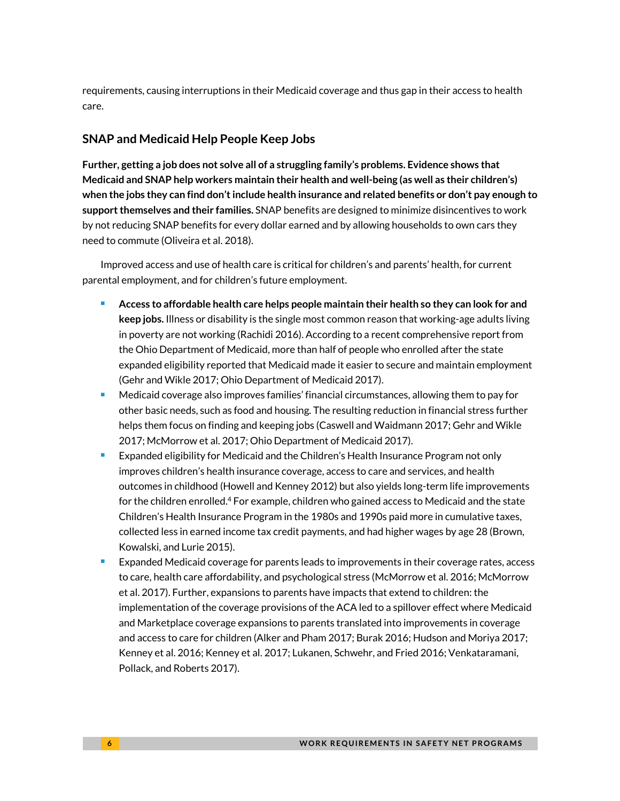requirements, causing interruptions in their Medicaid coverage and thus gap in their access to health care.

#### **SNAP and Medicaid Help People Keep Jobs**

**Further, getting a job does not solve all of a struggling family's problems. Evidence shows that Medicaid and SNAP help workers maintain their health and well-being (as well as their children's) when the jobs they can find don't include health insurance and related benefits or don't pay enough to support themselves and their families.** SNAP benefits are designed to minimize disincentives to work by not reducing SNAP benefits for every dollar earned and by allowing households to own cars they need to commute (Oliveira et al. 2018).

Improved access and use of health care is critical for children's and parents' health, for current parental employment, and for children's future employment.

- **Access to affordable health care helps people maintain their health so they can look for and keep jobs.** Illness or disability is the single most common reason that working-age adults living in poverty are not working (Rachidi 2016). According to a recent comprehensive report from the Ohio Department of Medicaid, more than half of people who enrolled after the state expanded eligibility reported that Medicaid made it easier to secure and maintain employment (Gehr and Wikle 2017; Ohio Department of Medicaid 2017).
- Medicaid coverage also improves families' financial circumstances, allowing them to pay for other basic needs, such as food and housing. The resulting reduction in financial stress further helps them focus on finding and keeping jobs (Caswell and Waidmann 2017; Gehr and Wikle 2017; McMorrow et al. 2017; Ohio Department of Medicaid 2017).
- Expanded eligibility for Medicaid and the Children's Health Insurance Program not only improves children's health insurance coverage, access to care and services, and health outcomes in childhood (Howell and Kenney 2012) but also yields long-term life improvements for the children enrolled.<sup>4</sup> For example, children who gained access to Medicaid and the state Children's Health Insurance Program in the 1980s and 1990s paid more in cumulative taxes, collected less in earned income tax credit payments, and had higher wages by age 28 (Brown, Kowalski, and Lurie 2015).
- Expanded Medicaid coverage for parents leads to improvements in their coverage rates, access to care, health care affordability, and psychological stress (McMorrow et al. 2016; McMorrow et al. 2017). Further, expansions to parents have impacts that extend to children: the implementation of the coverage provisions of the ACA led to a spillover effect where Medicaid and Marketplace coverage expansions to parents translated into improvements in coverage and access to care for children (Alker and Pham 2017; Burak 2016; Hudson and Moriya 2017; Kenney et al. 2016; Kenney et al. 2017; Lukanen, Schwehr, and Fried 2016; Venkataramani, Pollack, and Roberts 2017).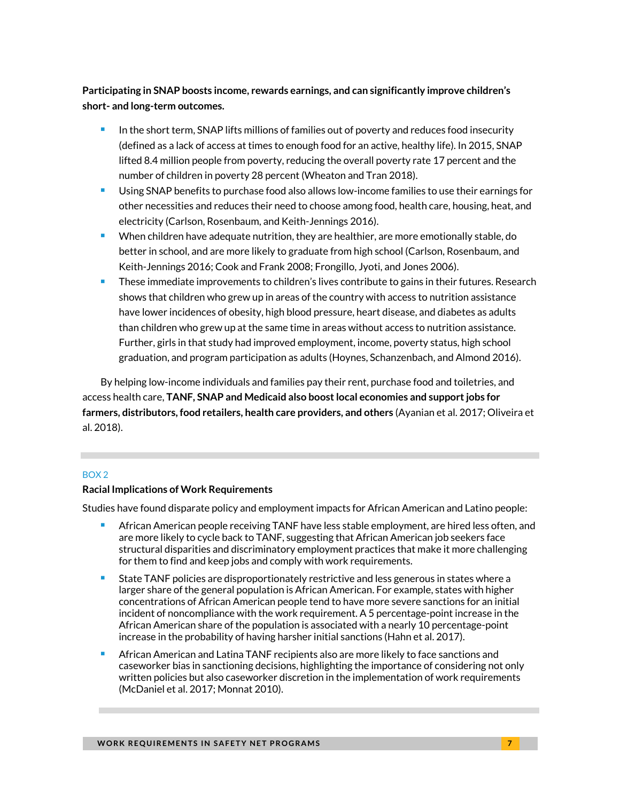#### **Participating in SNAP boosts income, rewards earnings, and can significantly improve children's short- and long-term outcomes.**

- In the short term, SNAP lifts millions of families out of poverty and reduces food insecurity (defined as a lack of access at times to enough food for an active, healthy life). In 2015, SNAP lifted 8.4 million people from poverty, reducing the overall poverty rate 17 percent and the number of children in poverty 28 percent (Wheaton and Tran 2018).
- Using SNAP benefits to purchase food also allows low-income families to use their earnings for other necessities and reduces their need to choose among food, health care, housing, heat, and electricity (Carlson, Rosenbaum, and Keith-Jennings 2016).
- When children have adequate nutrition, they are healthier, are more emotionally stable, do better in school, and are more likely to graduate from high school (Carlson, Rosenbaum, and Keith-Jennings 2016; Cook and Frank 2008; Frongillo, Jyoti, and Jones 2006).
- These immediate improvements to children's lives contribute to gains in their futures. Research shows that children who grew up in areas of the country with access to nutrition assistance have lower incidences of obesity, high blood pressure, heart disease, and diabetes as adults than children who grew up at the same time in areas without access to nutrition assistance. Further, girls in that study had improved employment, income, poverty status, high school graduation, and program participation as adults (Hoynes, Schanzenbach, and Almond 2016).

By helping low-income individuals and families pay their rent, purchase food and toiletries, and access health care, **TANF, SNAP and Medicaid also boost local economies and support jobs for farmers, distributors, food retailers, health care providers, and others** (Ayanian et al. 2017; Oliveira et al. 2018).

#### BOX 2

#### **Racial Implications of Work Requirements**

Studies have found disparate policy and employment impacts for African American and Latino people:

- African American people receiving TANF have less stable employment, are hired less often, and are more likely to cycle back to TANF, suggesting that African American job seekers face structural disparities and discriminatory employment practices that make it more challenging for them to find and keep jobs and comply with work requirements.
- State TANF policies are disproportionately restrictive and less generous in states where a larger share of the general population is African American. For example, states with higher concentrations of African American people tend to have more severe sanctions for an initial incident of noncompliance with the work requirement. A 5 percentage-point increase in the African American share of the population is associated with a nearly 10 percentage-point increase in the probability of having harsher initial sanctions (Hahn et al. 2017).
- African American and Latina TANF recipients also are more likely to face sanctions and caseworker bias in sanctioning decisions, highlighting the importance of considering not only written policies but also caseworker discretion in the implementation of work requirements (McDaniel et al. 2017; Monnat 2010).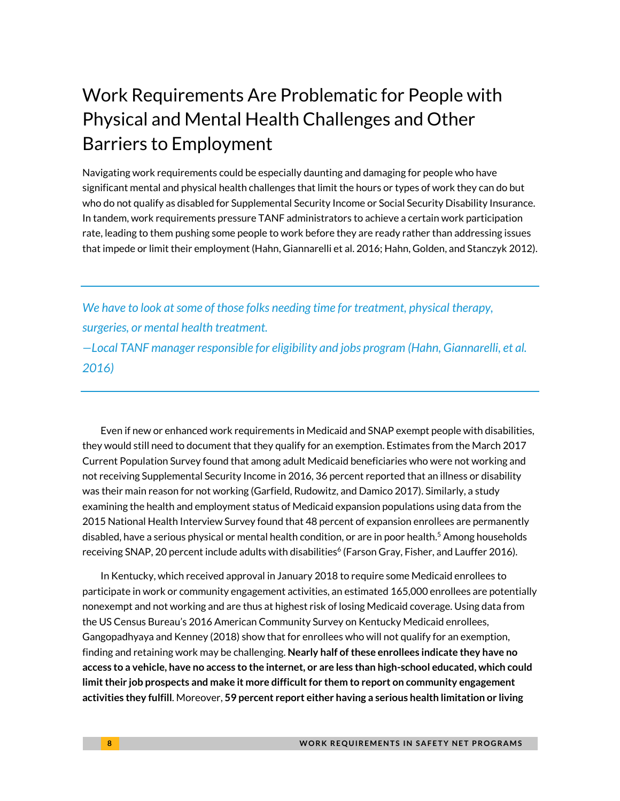# Work Requirements Are Problematic for People with Physical and Mental Health Challenges and Other Barriers to Employment

Navigating work requirements could be especially daunting and damaging for people who have significant mental and physical health challenges that limit the hours or types of work they can do but who do not qualify as disabled for Supplemental Security Income or Social Security Disability Insurance. In tandem, work requirements pressure TANF administrators to achieve a certain work participation rate, leading to them pushing some people to work before they are ready rather than addressing issues that impede or limit their employment (Hahn, Giannarelli et al. 2016; Hahn, Golden, and Stanczyk 2012).

*We have to look at some of those folks needing time for treatment, physical therapy, surgeries, or mental health treatment. —Local TANF manager responsible for eligibility and jobs program (Hahn, Giannarelli, et al. 2016)*

Even if new or enhanced work requirements in Medicaid and SNAP exempt people with disabilities, they would still need to document that they qualify for an exemption. Estimates from the March 2017 Current Population Survey found that among adult Medicaid beneficiaries who were not working and not receiving Supplemental Security Income in 2016, 36 percent reported that an illness or disability was their main reason for not working (Garfield, Rudowitz, and Damico 2017). Similarly, a study examining the health and employment status of Medicaid expansion populations using data from the 2015 National Health Interview Survey found that 48 percent of expansion enrollees are permanently disabled, have a serious physical or mental health condition, or are in poor health.<sup>5</sup> Among households receiving SNAP, 20 percent include adults with disabilities<sup>6</sup> (Farson Gray, Fisher, and Lauffer 2016).

In Kentucky, which received approval in January 2018 to require some Medicaid enrollees to participate in work or community engagement activities, an estimated 165,000 enrollees are potentially nonexempt and not working and are thus at highest risk of losing Medicaid coverage. Using data from the US Census Bureau's 2016 American Community Survey on Kentucky Medicaid enrollees, Gangopadhyaya and Kenney (2018) show that for enrollees who will not qualify for an exemption, finding and retaining work may be challenging. **Nearly half of these enrollees indicate they have no access to a vehicle, have no access to the internet, or are less than high-school educated, which could limit their job prospects and make it more difficult for them to report on community engagement activities they fulfill**. Moreover, **59 percent report either having a serious health limitation or living**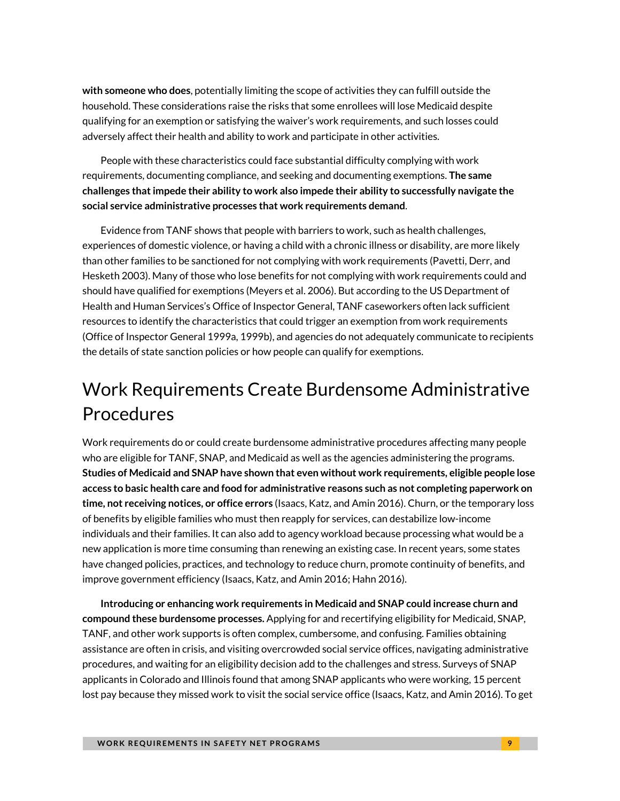**with someone who does**, potentially limiting the scope of activities they can fulfill outside the household. These considerations raise the risks that some enrollees will lose Medicaid despite qualifying for an exemption or satisfying the waiver's work requirements, and such losses could adversely affect their health and ability to work and participate in other activities.

People with these characteristics could face substantial difficulty complying with work requirements, documenting compliance, and seeking and documenting exemptions. **The same challenges that impede their ability to work also impede their ability to successfully navigate the social service administrative processes that work requirements demand**.

Evidence from TANF shows that people with barriers to work, such as health challenges, experiences of domestic violence, or having a child with a chronic illness or disability, are more likely than other families to be sanctioned for not complying with work requirements (Pavetti, Derr, and Hesketh 2003). Many of those who lose benefits for not complying with work requirements could and should have qualified for exemptions (Meyers et al. 2006). But according to the US Department of Health and Human Services's Office of Inspector General, TANF caseworkers often lack sufficient resources to identify the characteristics that could trigger an exemption from work requirements (Office of Inspector General 1999a, 1999b), and agencies do not adequately communicate to recipients the details of state sanction policies or how people can qualify for exemptions.

# Work Requirements Create Burdensome Administrative Procedures

Work requirements do or could create burdensome administrative procedures affecting many people who are eligible for TANF, SNAP, and Medicaid as well as the agencies administering the programs. **Studies of Medicaid and SNAP have shown that even without work requirements[, eligible people lose](https://www.urban.org/node/81606)  [access to basic health care and food](https://www.urban.org/node/81606) for administrative reasons such as not completing paperwork on time, not receiving notices, or office errors** (Isaacs, Katz, and Amin 2016). Churn, or the temporary loss of benefits by eligible families who must then reapply for services, can destabilize low-income individuals and their families. It can also add to agency workload because processing what would be a new application is more time consuming than renewing an existing case. In recent years, some states have changed policies, practices, and technology to reduce churn, promote continuity of benefits, and improve government efficiency (Isaacs, Katz, and Amin 2016; Hahn 2016).

**Introducing or enhancing work requirements in Medicaid and SNAP could increase churn and compound these burdensome processes.** Applying for and recertifying eligibility for Medicaid, SNAP, TANF, and other work supports is often complex, cumbersome, and confusing. Families obtaining assistance are often in crisis, and visiting overcrowded social service offices, navigating administrative procedures, and waiting for an eligibility decision add to the challenges and stress. Surveys of SNAP applicants in Colorado and Illinois found that among SNAP applicants who were working, 15 percent lost pay because they missed work to visit the social service office (Isaacs, Katz, and Amin 2016). To get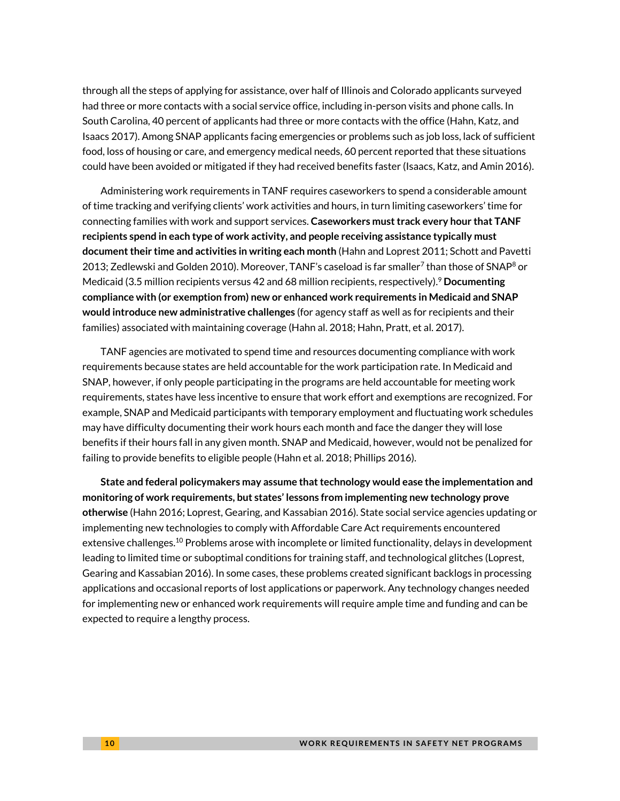through all the steps of applying for assistance, over half of Illinois and Colorado applicants surveyed had three or more contacts with a social service office, including in-person visits and phone calls. In South Carolina, 40 percent of applicants had three or more contacts with the office (Hahn, Katz, and Isaacs 2017). Among SNAP applicants facing emergencies or problems such as job loss, lack of sufficient food, loss of housing or care, and emergency medical needs, 60 percent reported that these situations could have been avoided or mitigated if they had received benefits faster (Isaacs, Katz, and Amin 2016).

Administering work requirements in TANF requires caseworkers to spend a considerable amount of time tracking and verifying clients' work activities and hours, in turn limiting caseworkers' time for connecting families with work and support services. **Caseworkers must track every hour that TANF recipients spend in each type of work activity, and people receiving assistance typically must document their time and activities in writing each month** (Hahn and Loprest 2011; Schott and Pavetti 2013; Zedlewski and Golden 2010). Moreover, TANF's caseload is far smaller<sup>7</sup> than those of SNAP<sup>8</sup> or Medicaid (3.5 million recipients versus 42 and 68 million recipients, respectively).<sup>9</sup> **Documenting compliance with (or exemption from) new or enhanced work requirements in Medicaid and SNAP would introduce new administrative challenges** (for agency staff as well as for recipients and their families) associated with maintaining coverage (Hahn al. 2018; Hahn, Pratt, et al. 2017).

TANF agencies are motivated to spend time and resources documenting compliance with work requirements because states are held accountable for the work participation rate. In Medicaid and SNAP, however, if only people participating in the programs are held accountable for meeting work requirements, states have less incentive to ensure that work effort and exemptions are recognized. For example, SNAP and Medicaid participants with temporary employment and fluctuating work schedules may have difficulty documenting their work hours each month and face the danger they will lose benefits if their hours fall in any given month. SNAP and Medicaid, however, would not be penalized for failing to provide benefits to eligible people (Hahn et al. 2018; Phillips 2016).

**State and federal policymakers may assume that technology would ease the implementation and monitoring of work requirements, but states' lessons from implementing new technology prove otherwise** (Hahn 2016; Loprest, Gearing, and Kassabian 2016). State social service agencies updating or implementing new technologies to comply with Affordable Care Act requirements encountered extensive challenges.<sup>10</sup> Problems arose with incomplete or limited functionality, delays in development leading to limited time or suboptimal conditions for training staff, and technological glitches (Loprest, Gearing and Kassabian 2016). In some cases, these problems created significant backlogs in processing applications and occasional reports of lost applications or paperwork. Any technology changes needed for implementing new or enhanced work requirements will require ample time and funding and can be expected to require a lengthy process.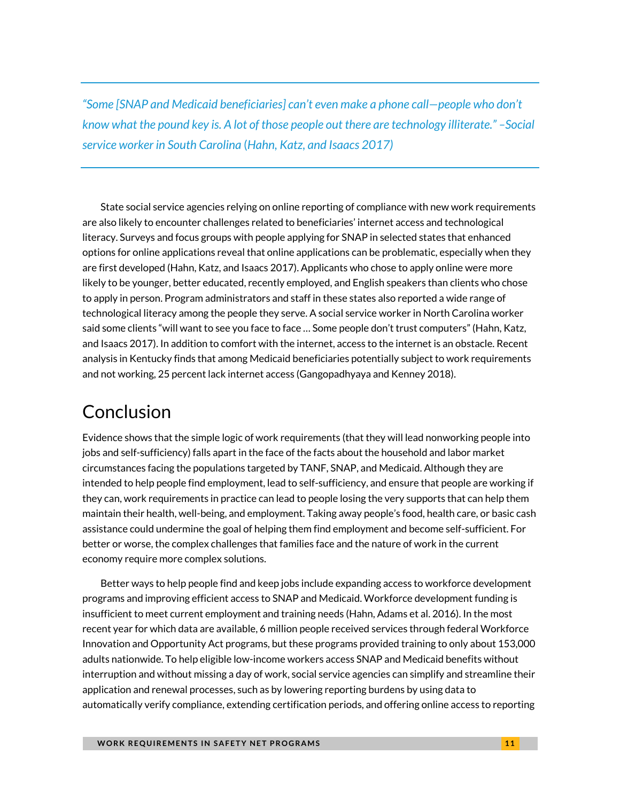*"Some [SNAP and Medicaid beneficiaries] can't even make a phone call—people who don't know what the pound key is. A lot of those people out there are technology illiterate." –Social service worker in South Carolina* (*Hahn, Katz, and Isaacs 2017)*

State social service agencies relying on online reporting of compliance with new work requirements are also likely to encounter challenges related to beneficiaries' internet access and technological literacy. Surveys and focus groups with people applying for SNAP in selected states that enhanced options for online applications reveal that online applications can be problematic, especially when they are first developed (Hahn, Katz, and Isaacs 2017). Applicants who chose to apply online were more likely to be younger, better educated, recently employed, and English speakers than clients who chose to apply in person. Program administrators and staff in these states also reported a wide range of technological literacy among the people they serve. A social service worker in North Carolina worker said some clients "will want to see you face to face … Some people don't trust computers" (Hahn, Katz, and Isaacs 2017). In addition to comfort with the internet, access to the internet is an obstacle. Recent analysis in Kentucky finds that among Medicaid beneficiaries potentially subject to work requirements and not working, 25 percent lack internet access (Gangopadhyaya and Kenney 2018).

# Conclusion

Evidence shows that the simple logic of work requirements (that they will lead nonworking people into jobs and self-sufficiency) falls apart in the face of the facts about the household and labor market circumstances facing the populations targeted by TANF, SNAP, and Medicaid. Although they are intended to help people find employment, lead to self-sufficiency, and ensure that people are working if they can, work requirements in practice can lead to people losing the very supports that can help them maintain their health, well-being, and employment. Taking away people's food, health care, or basic cash assistance could undermine the goal of helping them find employment and become self-sufficient. For better or worse, the complex challenges that families face and the nature of work in the current economy require more complex solutions.

Better ways to help people find and keep jobs include expanding access to workforce development programs and improving efficient access to SNAP and Medicaid. Workforce development funding is insufficient to meet current employment and training needs (Hahn, Adams et al. 2016). In the most recent year for which data are available, 6 million people received services through federal Workforce Innovation and Opportunity Act programs, but these programs provided training to only about 153,000 adults nationwide. To help eligible low-income workers access SNAP and Medicaid benefits without interruption and without missing a day of work, social service agencies can simplify and streamline their application and renewal processes, such as by lowering reporting burdens by using data to automatically verify compliance, extending certification periods, and offering online access to reporting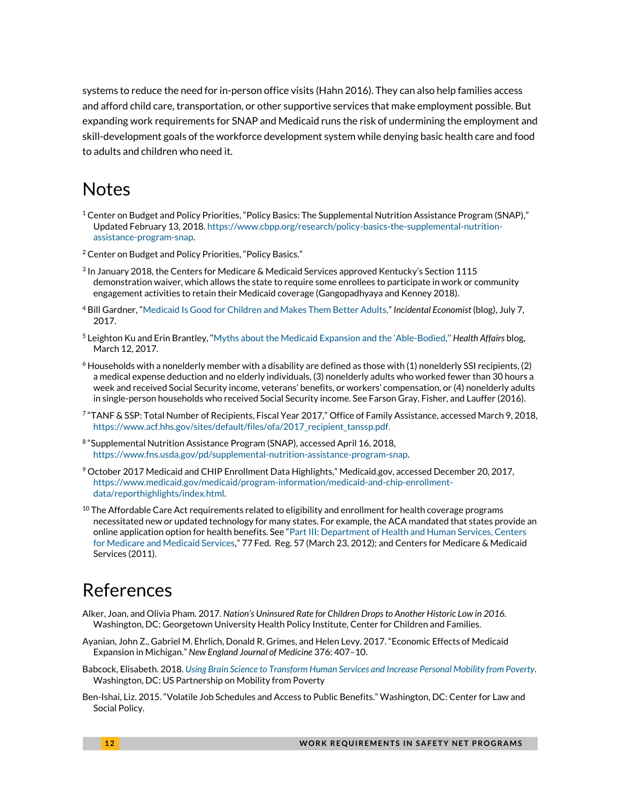systems to reduce the need for in-person office visits (Hahn 2016). They can also help families access and afford child care, transportation, or other supportive services that make employment possible. But expanding work requirements for SNAP and Medicaid runs the risk of undermining the employment and skill-development goals of the workforce development system while denying basic health care and food to adults and children who need it.

### Notes

- $1$  Center on Budget and Policy Priorities, "Policy Basics: The Supplemental Nutrition Assistance Program (SNAP)," Updated February 13, 2018[. https://www.cbpp.org/research/policy-basics-the-supplemental-nutrition](https://www.cbpp.org/research/policy-basics-the-supplemental-nutrition-assistance-program-snap)[assistance-program-snap.](https://www.cbpp.org/research/policy-basics-the-supplemental-nutrition-assistance-program-snap)
- <sup>2</sup> Center on Budget and Policy Priorities, "Policy Basics."
- 3 In January 2018, the Centers for Medicare & Medicaid Services approved Kentucky's Section 1115 demonstration waiver, which allows the state to require some enrollees to participate in work or community engagement activities to retain their Medicaid coverage (Gangopadhyaya and Kenney 2018).
- <sup>4</sup> Bill Gardner, "[Medicaid Is Good for Children and Makes Them Better Adults,](https://theincidentaleconomist.com/wordpress/medicaid-is-good-for-children-and-makes-them-better-adults/)" *Incidental Economist* (blog), July 7, 2017.
- <sup>5</sup> Leighton Ku and Erin Brantley, ["Myths about the Medicaid Expansion and the 'Able](http://www.healthaffairs.org/do/10.1377/hblog20170306.059021/full/)-Bodied,'' *Health Affairs* blog, March 12, 2017.
- $6$  Households with a nonelderly member with a disability are defined as those with (1) nonelderly SSI recipients, (2) a medical expense deduction and no elderly individuals, (3) nonelderly adults who worked fewer than 30 hours a week and received Social Security income, veterans' benefits, or workers' compensation, or (4) nonelderly adults in single-person households who received Social Security income. See Farson Gray, Fisher, and Lauffer (2016).
- 7 "TANF & SSP: Total Number of Recipients, Fiscal Year 2017," Office of Family Assistance, accessed March 9, 2018, [https://www.acf.hhs.gov/sites/default/files/ofa/2017\\_recipient\\_tanssp.pdf.](https://www.acf.hhs.gov/sites/default/files/ofa/2017_recipient_tanssp.pdf)
- <sup>8</sup> "Supplemental Nutrition Assistance Program (SNAP), accessed April 16, 2018, [https://www.fns.usda.gov/pd/supplemental-nutrition-assistance-program-snap.](https://www.fns.usda.gov/pd/supplemental-nutrition-assistance-program-snap)
- <sup>9</sup> October 2017 Medicaid and CHIP Enrollment Data Highlights," Medicaid.gov, accessed December 20, 2017, [https://www.medicaid.gov/medicaid/program-information/medicaid-and-chip-enrollment](https://www.medicaid.gov/medicaid/program-information/medicaid-and-chip-enrollment-data/reporthighlights/index.html)[data/reporthighlights/index.html.](https://www.medicaid.gov/medicaid/program-information/medicaid-and-chip-enrollment-data/reporthighlights/index.html)
- $10$  The Affordable Care Act requirements related to eligibility and enrollment for health coverage programs necessitated new or updated technology for many states. For example, the ACA mandated that states provide an online application option for health benefits. See "[Part III: Department of Health and Human Services, Centers](http://www.gpo.gov/fdsys/pkg/FR-2012-03-23/pdf/2012-6560.pdf)  [for Medicare and Medicaid Services](http://www.gpo.gov/fdsys/pkg/FR-2012-03-23/pdf/2012-6560.pdf)," 77 Fed. Reg. 57 (March 23, 2012); and Centers for Medicare & Medicaid Services (2011).

### References

- Alker, Joan, and Olivia Pham. 2017. *Nation's Uninsured Rate for Children Drops to Another Historic Low in 2016.* Washington, DC: Georgetown University Health Policy Institute, Center for Children and Families.
- Ayanian, John Z., Gabriel M. Ehrlich, Donald R. Grimes, and Helen Levy. 2017. "Economic Effects of Medicaid Expansion in Michigan." *New England Journal of Medicine* 376: 407–10.
- Babcock, Elisabeth. 2018. *[Using Brain Science to Transform Human Services and Increase Personal Mobility from Poverty](http://www.mobilitypartnership.org/using-brain-science-transform-human-services-and-increase-personal-mobility-poverty)*. Washington, DC: US Partnership on Mobility from Poverty
- Ben-Ishai, Liz. 2015. "Volatile Job Schedules and Access to Public Benefits." Washington, DC: Center for Law and Social Policy.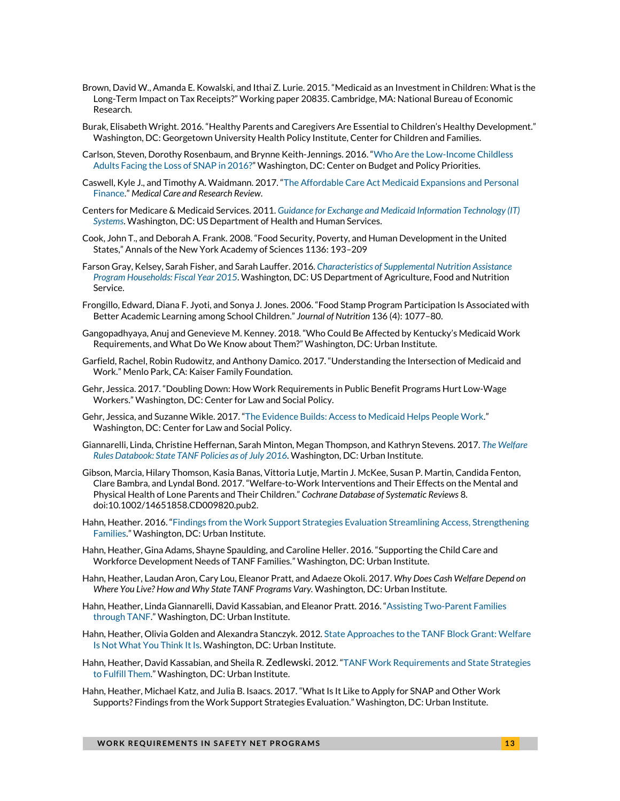- Brown, David W., Amanda E. Kowalski, and Ithai Z. Lurie. 2015. "Medicaid as an Investment in Children: What is the Long-Term Impact on Tax Receipts?" Working paper 20835. Cambridge, MA: National Bureau of Economic Research.
- Burak, Elisabeth Wright. 2016. "Healthy Parents and Caregivers Are Essential to Children's Healthy Development." Washington, DC: Georgetown University Health Policy Institute, Center for Children and Families.
- Carlson, Steven, Dorothy Rosenbaum, and Brynne Keith-Jennings. 2016. "[Who Are the Low-Income Childless](https://www.cbpp.org/research/food-assistance/who-are-the-low-income-childless-adults-facing-the-loss-ofsnap-in-2016)  [Adults Facing the Loss of SNAP in 2016?](https://www.cbpp.org/research/food-assistance/who-are-the-low-income-childless-adults-facing-the-loss-ofsnap-in-2016)" Washington, DC: Center on Budget and Policy Priorities.
- Caswell, Kyle J., and Timothy A. Waidmann. 2017. "[The Affordable Care Act Medicaid Expansions and Personal](http://urbn.is/2FzeHb2)  [Finance](http://urbn.is/2FzeHb2)." *Medical Care and Research Review*.
- Centers for Medicare & Medicaid Services. 2011. *[Guidance for Exchange and Medicaid Information Technology \(IT\)](http://www.medicaid.gov/Medicaid-CHIP-Program-Information/By-Topics/Data-and-Systems/Downloads/exchangemedicaiditguidance.pdf)  [Systems](http://www.medicaid.gov/Medicaid-CHIP-Program-Information/By-Topics/Data-and-Systems/Downloads/exchangemedicaiditguidance.pdf)*. Washington, DC: US Department of Health and Human Services.
- Cook, John T., and Deborah A. Frank. 2008. "Food Security, Poverty, and Human Development in the United States," Annals of the New York Academy of Sciences 1136: 193–209
- Farson Gray, Kelsey, Sarah Fisher, and Sarah Lauffer. 2016. *[Characteristics of Supplemental Nutrition Assistance](https://fns-prod.azureedge.net/sites/default/files/ops/Characteristics2015.pdf)  [Program Households: Fiscal Year 2015](https://fns-prod.azureedge.net/sites/default/files/ops/Characteristics2015.pdf)*. Washington, DC: US Department of Agriculture, Food and Nutrition Service.
- Frongillo, Edward, Diana F. Jyoti, and Sonya J. Jones. 2006. "Food Stamp Program Participation Is Associated with Better Academic Learning among School Children." *Journal of Nutrition* 136 (4): 1077–80.
- Gangopadhyaya, Anuj and Genevieve M. Kenney. 2018. "Who Could Be Affected by Kentucky's Medicaid Work Requirements, and What Do We Know about Them?" Washington, DC: Urban Institute.
- Garfield, Rachel, Robin Rudowitz, and Anthony Damico. 2017. "Understanding the Intersection of Medicaid and Work." Menlo Park, CA: Kaiser Family Foundation.
- Gehr, Jessica. 2017. "Doubling Down: How Work Requirements in Public Benefit Programs Hurt Low-Wage Workers." Washington, DC: Center for Law and Social Policy.
- Gehr, Jessica, and Suzanne Wikle. 2017. "[The Evidence Builds: Access to Medicaid Helps People Work.](http://www.clasp.org/resources-and-publications/publication-1/The-Evidence-Builds-Access-to-Medicaid-Helps-People-Work.pdf)" Washington, DC: Center for Law and Social Policy.
- Giannarelli, Linda, Christine Heffernan, Sarah Minton, Megan Thompson, and Kathryn Stevens. 2017. *[The Welfare](https://www.urban.org/research/publication/welfare-rules-databook-state-tanf-policies-july-2016)  [Rules Databook: State TANF Policies as of July 2016.](https://www.urban.org/research/publication/welfare-rules-databook-state-tanf-policies-july-2016)* Washington, DC: Urban Institute.
- Gibson, Marcia, Hilary Thomson, Kasia Banas, Vittoria Lutje, Martin J. McKee, Susan P. Martin, Candida Fenton, Clare Bambra, and Lyndal Bond. 2017. "Welfare-to-Work Interventions and Their Effects on the Mental and Physical Health of Lone Parents and Their Children." *Cochrane Database of Systematic Reviews* 8. doi:10.1002/14651858.CD009820.pub2.
- Hahn, Heather. 2016. "[Findings from the Work Support Strategies Evaluation Streamlining Access, Strengthening](http://urbn.is/2FCUPzJ)  [Families](http://urbn.is/2FCUPzJ)." Washington, DC: Urban Institute.
- Hahn, Heather, Gina Adams, Shayne Spaulding, and Caroline Heller. 2016. "Supporting the Child Care and Workforce Development Needs of TANF Families." Washington, DC: Urban Institute.
- Hahn, Heather, Laudan Aron, Cary Lou, Eleanor Pratt, and Adaeze Okoli. 2017. *Why Does Cash Welfare Depend on Where You Live? How and Why State TANF Programs Vary.* Washington, DC: Urban Institute.
- Hahn, Heather, Linda Giannarelli, David Kassabian, and Eleanor Pratt. 2016. "[Assisting Two-Parent Families](http://www.urban.org/research/publication/assisting-two-parent-families-through-tanf)  [through TANF.](http://www.urban.org/research/publication/assisting-two-parent-families-through-tanf)" Washington, DC: Urban Institute.
- Hahn, Heather, Olivia Golden and Alexandra Stanczyk. 2012[. State Approaches to the TANF Block Grant: Welfare](https://www.urban.org/research/publication/state-approaches-tanf-block-grant-welfare-not-what-you-think-it)  [Is Not What You Think It Is.](https://www.urban.org/research/publication/state-approaches-tanf-block-grant-welfare-not-what-you-think-it) Washington, DC: Urban Institute.
- Hahn, Heather, David Kassabian, and Sheila R. Zedlewski. 2012. "[TANF Work Requirements and State Strategies](https://www.urban.org/research/publication/tanf-work-requirements-and-state-strategies-fulfill-them)  [to Fulfill Them](https://www.urban.org/research/publication/tanf-work-requirements-and-state-strategies-fulfill-them)." Washington, DC: Urban Institute.
- Hahn, Heather, Michael Katz, and Julia B. Isaacs. 2017. "What Is It Like to Apply for SNAP and Other Work Supports? Findings from the Work Support Strategies Evaluation." Washington, DC: Urban Institute.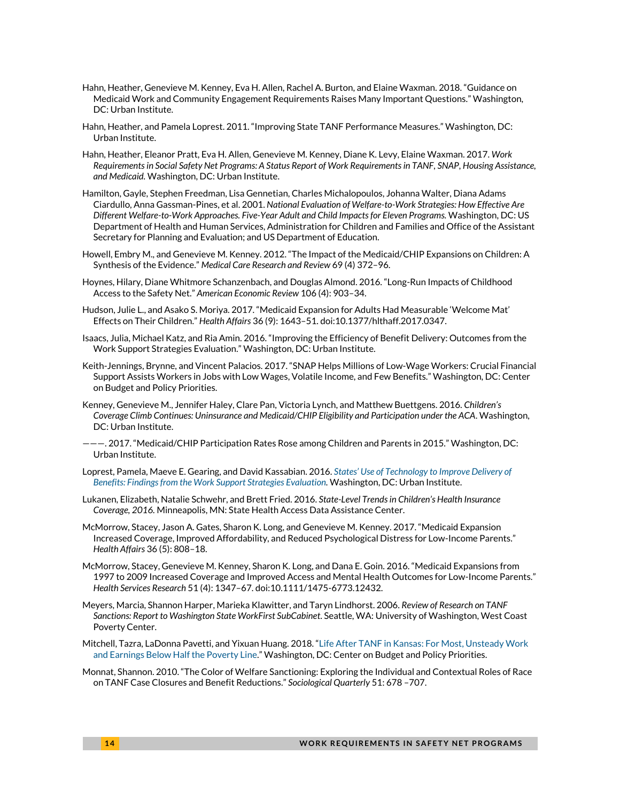- Hahn, Heather, Genevieve M. Kenney, Eva H. Allen, Rachel A. Burton, and Elaine Waxman. 2018. "Guidance on Medicaid Work and Community Engagement Requirements Raises Many Important Questions." Washington, DC: Urban Institute.
- Hahn, Heather, and Pamela Loprest. 2011. "Improving State TANF Performance Measures." Washington, DC: Urban Institute.
- Hahn, Heather, Eleanor Pratt, Eva H. Allen, Genevieve M. Kenney, Diane K. Levy, Elaine Waxman. 2017. *Work Requirements in Social Safety Net Programs: A Status Report of Work Requirements in TANF, SNAP, Housing Assistance, and Medicaid.* Washington, DC: Urban Institute.
- Hamilton, Gayle, Stephen Freedman, Lisa Gennetian, Charles Michalopoulos, Johanna Walter, Diana Adams Ciardullo, Anna Gassman-Pines, et al. 2001. *National Evaluation of Welfare-to-Work Strategies: How Effective Are Different Welfare-to-Work Approaches. Five-Year Adult and Child Impacts for Eleven Programs.* Washington, DC: US Department of Health and Human Services, Administration for Children and Families and Office of the Assistant Secretary for Planning and Evaluation; and US Department of Education.
- Howell, Embry M., and Genevieve M. Kenney. 2012. "The Impact of the Medicaid/CHIP Expansions on Children: A Synthesis of the Evidence." *Medical Care Research and Review* 69 (4) 372–96.
- Hoynes, Hilary, Diane Whitmore Schanzenbach, and Douglas Almond. 2016. "Long-Run Impacts of Childhood Access to the Safety Net." *American Economic Review* 106 (4): 903–34.
- Hudson, Julie L., and Asako S. Moriya. 2017. "Medicaid Expansion for Adults Had Measurable 'Welcome Mat' Effects on Their Children." *Health Affairs* 36 (9): 1643–51. doi:10.1377/hlthaff.2017.0347.
- Isaacs, Julia, Michael Katz, and Ria Amin. 2016. "Improving the Efficiency of Benefit Delivery: Outcomes from the Work Support Strategies Evaluation." Washington, DC: Urban Institute.
- Keith-Jennings, Brynne, and Vincent Palacios. 2017. "SNAP Helps Millions of Low-Wage Workers: Crucial Financial Support Assists Workers in Jobs with Low Wages, Volatile Income, and Few Benefits." Washington, DC: Center on Budget and Policy Priorities.
- Kenney, Genevieve M., Jennifer Haley, Clare Pan, Victoria Lynch, and Matthew Buettgens. 2016. *Children's Coverage Climb Continues: Uninsurance and Medicaid/CHIP Eligibility and Participation under the ACA*. Washington, DC: Urban Institute.
- ———. 2017. "Medicaid/CHIP Participation Rates Rose among Children and Parents in 2015." Washington, DC: Urban Institute.
- Loprest, Pamela, Maeve E. Gearing, and David Kassabian. 2016. *States' Use of Techno[logy to Improve Delivery of](http://urbn.is/215AmHD)  [Benefits: Findings from the Work Support Strategies Evaluation.](http://urbn.is/215AmHD)* Washington, DC: Urban Institute.
- Lukanen, Elizabeth, Natalie Schwehr, and Brett Fried. 2016. *State-Level Trends in Children's Health Insurance Coverage, 2016.* Minneapolis, MN: State Health Access Data Assistance Center.
- McMorrow, Stacey, Jason A. Gates, Sharon K. Long, and Genevieve M. Kenney. 2017. "Medicaid Expansion Increased Coverage, Improved Affordability, and Reduced Psychological Distress for Low-Income Parents." *Health Affairs* 36 (5): 808–18.
- McMorrow, Stacey, Genevieve M. Kenney, Sharon K. Long, and Dana E. Goin. 2016. "Medicaid Expansions from 1997 to 2009 Increased Coverage and Improved Access and Mental Health Outcomes for Low-Income Parents." *Health Services Research* 51 (4): 1347–67. doi:10.1111/1475-6773.12432.
- Meyers, Marcia, Shannon Harper, Marieka Klawitter, and Taryn Lindhorst. 2006. *Review of Research on TANF Sanctions: Report to Washington State WorkFirst SubCabinet*. Seattle, WA: University of Washington, West Coast Poverty Center.
- Mitchell, Tazra, LaDonna Pavetti, and Yixuan Huang. 2018. "[Life After TANF in Kansas: For Most, Unsteady Work](https://www.cbpp.org/research/family-income-support/life-after-tanf-in-kansas-for-most-unsteady-work-and-earnings-below)  [and Earnings Below Half the Poverty Line](https://www.cbpp.org/research/family-income-support/life-after-tanf-in-kansas-for-most-unsteady-work-and-earnings-below)." Washington, DC: Center on Budget and Policy Priorities.
- Monnat, Shannon. 2010. "The Color of Welfare Sanctioning: Exploring the Individual and Contextual Roles of Race on TANF Case Closures and Benefit Reductions." *Sociological Quarterly* 51: 678 –707.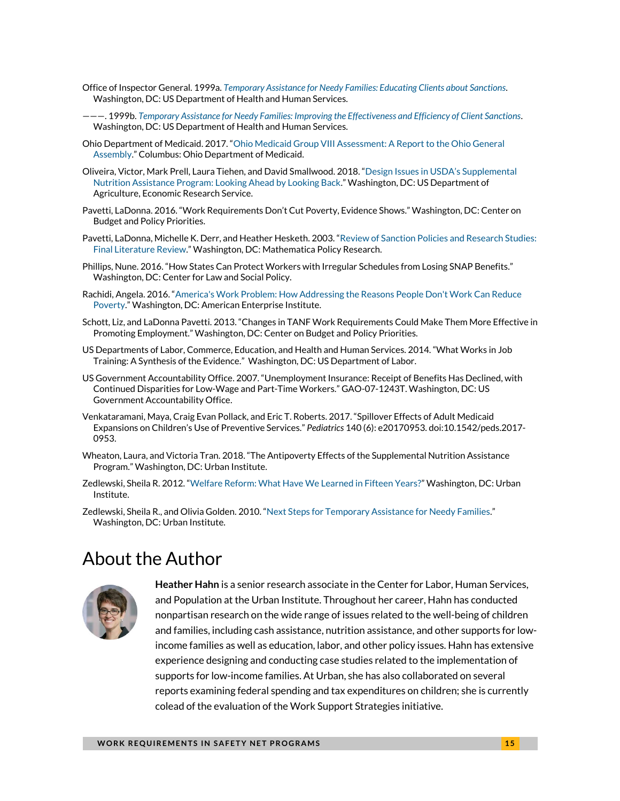- Office of Inspector General. 1999a. *Temporary [Assistance for Needy Families: Educating Clients about Sanctions](https://oig.hhs.gov/oei/reports/oei-09-98-00291.pdf)*. Washington, DC: US Department of Health and Human Services.
- ———. 1999b. *[Temporary Assistance for Needy Families: Improving the Effectiveness and Efficiency of Client Sanctions](https://oig.hhs.gov/oei/reports/oei-09-98-00290.pdf)*. Washington, DC: US Department of Health and Human Services.
- Ohio Department of Medicaid. 2017. "[Ohio Medicaid Group VIII Assessment: A Report to the Ohio General](http://medicaid.ohio.gov/portals/0/resources/reports/annual/group-viii-assessment.pdf)  [Assembly](http://medicaid.ohio.gov/portals/0/resources/reports/annual/group-viii-assessment.pdf)." Columbus: Ohio Department of Medicaid.
- Oliveira, Victor, Mark Prell, Laura Tiehen, and David Smallwood. 2018. ["Design Issues in USDA's Supplemental](https://www.ers.usda.gov/webdocs/publications/86924/err-243.pdf?v=43124)  [Nutrition Assistance Program: Looking Ahead by Looking Back](https://www.ers.usda.gov/webdocs/publications/86924/err-243.pdf?v=43124)." Washington, DC: US Department of Agriculture, Economic Research Service.
- Pavetti, LaDonna. 2016. "Work Requirements Don't Cut Poverty, Evidence Shows." Washington, DC: Center on Budget and Policy Priorities.
- Pavetti, LaDonna, Michelle K. Derr, and Heather Hesketh. 2003. "[Review of Sanction Policies and](https://www.mathematica-mpr.com/our-publications-and-findings/publications/review-of-sanction-policies-and-research-studies-final-literature-review) Research Studies: [Final Literature Review](https://www.mathematica-mpr.com/our-publications-and-findings/publications/review-of-sanction-policies-and-research-studies-final-literature-review)." Washington, DC: Mathematica Policy Research.
- Phillips, Nune. 2016. "How States Can Protect Workers with Irregular Schedules from Losing SNAP Benefits." Washington, DC: Center for Law and Social Policy.
- Rachidi, Angela. 2016. "[America's Work Problem: How Addressing the Reasons People Don't Work Can Reduce](https://www.aei.org/wp-content/uploads/2016/07/Americas-Work-Problem.pdf)  [Poverty](https://www.aei.org/wp-content/uploads/2016/07/Americas-Work-Problem.pdf)." Washington, DC: American Enterprise Institute.
- Schott, Liz, and LaDonna Pavetti. 2013. "Changes in TANF Work Requirements Could Make Them More Effective in Promoting Employment." Washington, DC: Center on Budget and Policy Priorities.
- US Departments of Labor, Commerce, Education, and Health and Human Services. 2014. "What Works in Job Training: A Synthesis of the Evidence." Washington, DC: US Department of Labor.
- US Government Accountability Office. 2007. "Unemployment Insurance: Receipt of Benefits Has Declined, with Continued Disparities for Low-Wage and Part-Time Workers." GAO-07-1243T. Washington, DC: US Government Accountability Office.
- Venkataramani, Maya, Craig Evan Pollack, and Eric T. Roberts. 2017. "Spillover Effects of Adult Medicaid Expansions on Children's Use of Preventive Services." *Pediatrics* 140 (6): e20170953. doi:10.1542/peds.2017- 0953.
- Wheaton, Laura, and Victoria Tran. 2018. "The Antipoverty Effects of the Supplemental Nutrition Assistance Program." Washington, DC: Urban Institute.
- Zedlewski, Sheila R. 2012. "[Welfare Reform: What Have We Learned in Fifteen Years?](http://urbn.is/2FwqAP3)" Washington, DC: Urban Institute.
- Zedlewski, Sheila R., and Olivia Golden. 2010. "[Next Steps for Temporary Assistance for Needy Families](http://urbn.is/2FCd08u)." Washington, DC: Urban Institute.

### About the Author



**Heather Hahn** is a senior research associate in the Center for Labor, Human Services, and Population at the Urban Institute. Throughout her career, Hahn has conducted nonpartisan research on the wide range of issues related to the well-being of children and families, including cash assistance, nutrition assistance, and other supports for lowincome families as well as education, labor, and other policy issues. Hahn has extensive experience designing and conducting case studies related to the implementation of supports for low-income families. At Urban, she has also collaborated on several reports examining federal spending and tax expenditures on children; she is currently colead of the evaluation of the Work Support Strategies initiative.